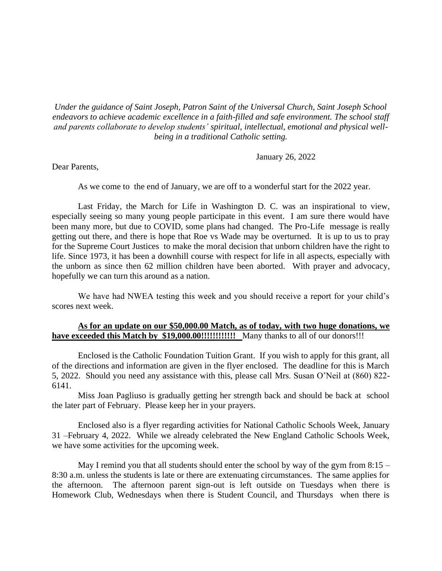*Under the guidance of Saint Joseph, Patron Saint of the Universal Church, Saint Joseph School endeavors to achieve academic excellence in a faith-filled and safe environment. The school staff and parents collaborate to develop students' spiritual, intellectual, emotional and physical wellbeing in a traditional Catholic setting.*

January 26, 2022

Dear Parents,

As we come to the end of January, we are off to a wonderful start for the 2022 year.

Last Friday, the March for Life in Washington D. C. was an inspirational to view, especially seeing so many young people participate in this event. I am sure there would have been many more, but due to COVID, some plans had changed. The Pro-Life message is really getting out there, and there is hope that Roe vs Wade may be overturned. It is up to us to pray for the Supreme Court Justices to make the moral decision that unborn children have the right to life. Since 1973, it has been a downhill course with respect for life in all aspects, especially with the unborn as since then 62 million children have been aborted. With prayer and advocacy, hopefully we can turn this around as a nation.

We have had NWEA testing this week and you should receive a report for your child's scores next week.

## **As for an update on our \$50,000.00 Match, as of today, with two huge donations, we have exceeded this Match by \$19,000.00!!!!!!!!!!!!** Many thanks to all of our donors!!!

Enclosed is the Catholic Foundation Tuition Grant. If you wish to apply for this grant, all of the directions and information are given in the flyer enclosed. The deadline for this is March 5, 2022. Should you need any assistance with this, please call Mrs. Susan O'Neil at (860) 822- 6141.

Miss Joan Pagliuso is gradually getting her strength back and should be back at school the later part of February. Please keep her in your prayers.

Enclosed also is a flyer regarding activities for National Catholic Schools Week, January 31 –February 4, 2022. While we already celebrated the New England Catholic Schools Week, we have some activities for the upcoming week.

May I remind you that all students should enter the school by way of the gym from  $8:15 -$ 8:30 a.m. unless the students is late or there are extenuating circumstances. The same applies for the afternoon. The afternoon parent sign-out is left outside on Tuesdays when there is Homework Club, Wednesdays when there is Student Council, and Thursdays when there is